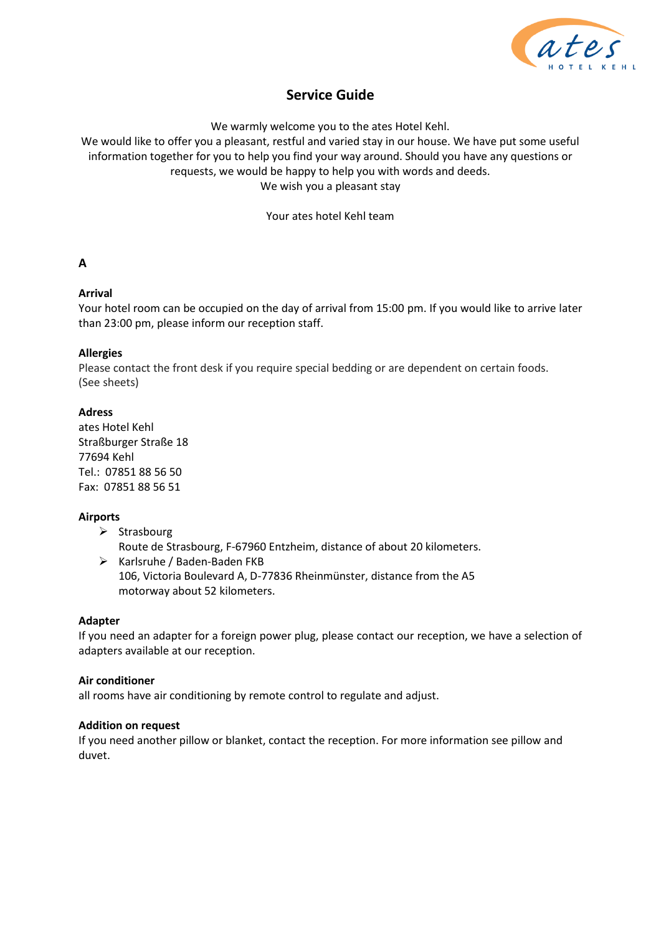

# **Service Guide**

We warmly welcome you to the ates Hotel Kehl.

We would like to offer you a pleasant, restful and varied stay in our house. We have put some useful information together for you to help you find your way around. Should you have any questions or requests, we would be happy to help you with words and deeds. We wish you a pleasant stay

Your ates hotel Kehl team

# **A**

# **Arrival**

Your hotel room can be occupied on the day of arrival from 15:00 pm. If you would like to arrive later than 23:00 pm, please inform our reception staff.

# **Allergies**

Please contact the front desk if you require special bedding or are dependent on certain foods. (See sheets)

# **Adress**

ates Hotel Kehl Straßburger Straße 18 77694 Kehl Tel.: 07851 88 56 50 Fax: 07851 88 56 51

# **Airports**

➢ Strasbourg

Route de Strasbourg, F-67960 Entzheim, distance of about 20 kilometers.

➢ Karlsruhe / Baden-Baden FKB 106, Victoria Boulevard A, D-77836 Rheinmünster, distance from the A5 motorway about 52 kilometers.

# **Adapter**

If you need an adapter for a foreign power plug, please contact our reception, we have a selection of adapters available at our reception.

# **Air conditioner**

all rooms have air conditioning by remote control to regulate and adjust.

# **Addition on request**

If you need another pillow or blanket, contact the reception. For more information see pillow and duvet.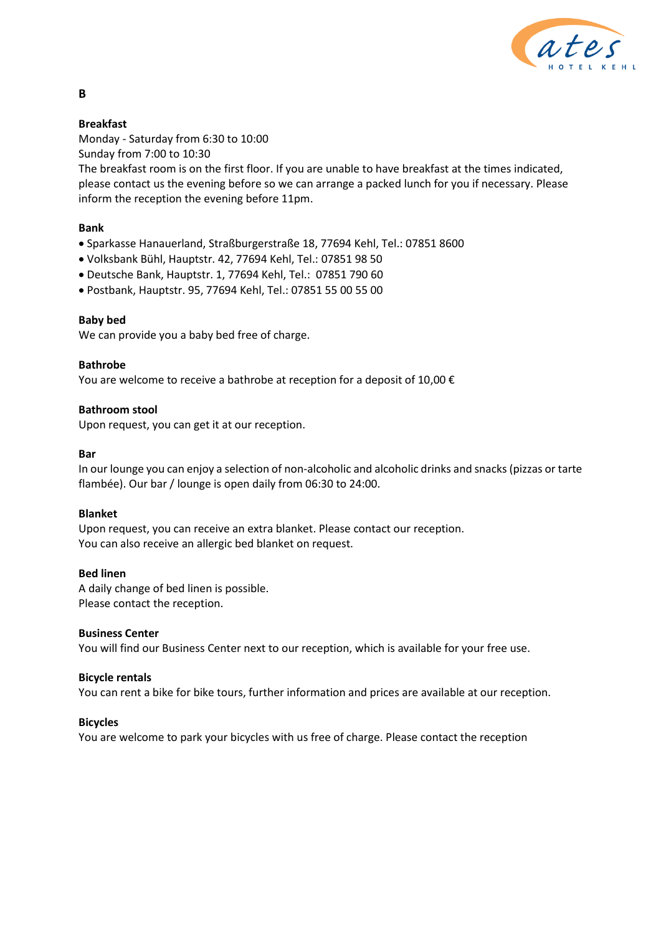

# **Breakfast**

**B**

Monday - Saturday from 6:30 to 10:00

Sunday from 7:00 to 10:30

The breakfast room is on the first floor. If you are unable to have breakfast at the times indicated, please contact us the evening before so we can arrange a packed lunch for you if necessary. Please inform the reception the evening before 11pm.

# **Bank**

- Sparkasse Hanauerland, Straßburgerstraße 18, 77694 Kehl, Tel.: 07851 8600
- Volksbank Bühl, Hauptstr. 42, 77694 Kehl, Tel.: 07851 98 50
- Deutsche Bank, Hauptstr. 1, 77694 Kehl, Tel.: 07851 790 60
- Postbank, Hauptstr. 95, 77694 Kehl, Tel.: 07851 55 00 55 00

# **Baby bed**

We can provide you a baby bed free of charge.

# **Bathrobe**

You are welcome to receive a bathrobe at reception for a deposit of 10,00  $\epsilon$ 

# **Bathroom stool**

Upon request, you can get it at our reception.

# **Bar**

In our lounge you can enjoy a selection of non-alcoholic and alcoholic drinks and snacks (pizzas or tarte flambée). Our bar / lounge is open daily from 06:30 to 24:00.

# **Blanket**

Upon request, you can receive an extra blanket. Please contact our reception. You can also receive an allergic bed blanket on request.

# **Bed linen**

A daily change of bed linen is possible. Please contact the reception.

# **Business Center**

You will find our Business Center next to our reception, which is available for your free use.

# **Bicycle rentals**

You can rent a bike for bike tours, further information and prices are available at our reception.

# **Bicycles**

You are welcome to park your bicycles with us free of charge. Please contact the reception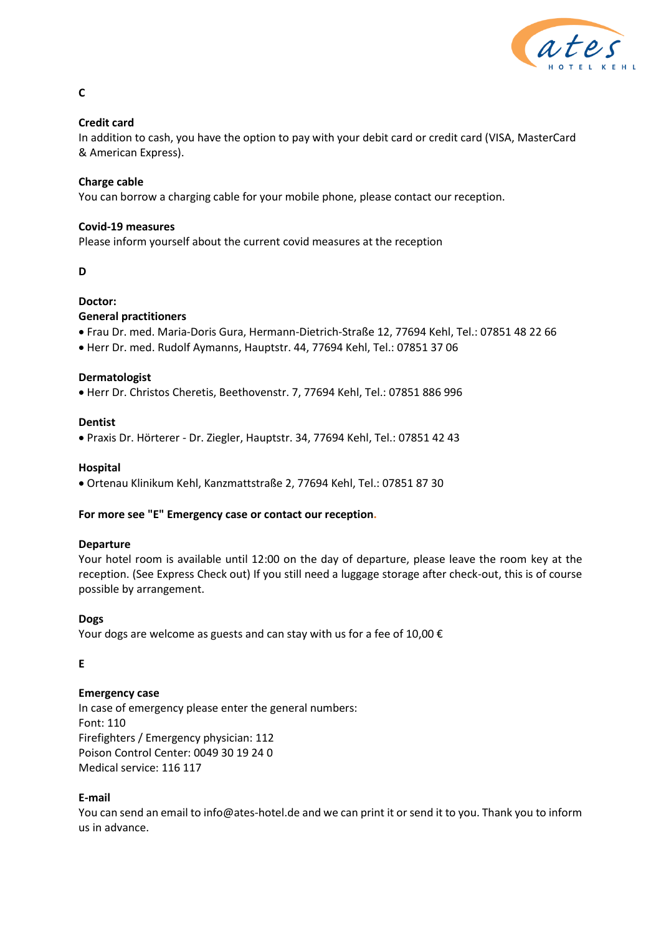

# **Credit card**

In addition to cash, you have the option to pay with your debit card or credit card (VISA, MasterCard & American Express).

# **Charge cable**

You can borrow a charging cable for your mobile phone, please contact our reception.

# **Covid-19 measures**

Please inform yourself about the current covid measures at the reception

### **D**

# **Doctor:**

# **General practitioners**

- Frau Dr. med. Maria-Doris Gura, Hermann-Dietrich-Straße 12, 77694 Kehl, Tel.: 07851 48 22 66
- Herr Dr. med. Rudolf Aymanns, Hauptstr. 44, 77694 Kehl, Tel.: 07851 37 06

# **Dermatologist**

• Herr Dr. Christos Cheretis, Beethovenstr. 7, 77694 Kehl, Tel.: 07851 886 996

# **Dentist**

• Praxis Dr. Hörterer - Dr. Ziegler, Hauptstr. 34, 77694 Kehl, Tel.: 07851 42 43

# **Hospital**

• Ortenau Klinikum Kehl, Kanzmattstraße 2, 77694 Kehl, Tel.: 07851 87 30

# **For more see "E" Emergency case or contact our reception.**

# **Departure**

Your hotel room is available until 12:00 on the day of departure, please leave the room key at the reception. (See Express Check out) If you still need a luggage storage after check-out, this is of course possible by arrangement.

# **Dogs**

Your dogs are welcome as guests and can stay with us for a fee of 10,00  $\epsilon$ 

# **E**

# **Emergency case**

In case of emergency please enter the general numbers: Font: 110 Firefighters / Emergency physician: 112 Poison Control Center: 0049 30 19 24 0 Medical service: 116 117

# **E-mail**

You can send an email to info@ates-hotel.de and we can print it or send it to you. Thank you to inform us in advance.

**C**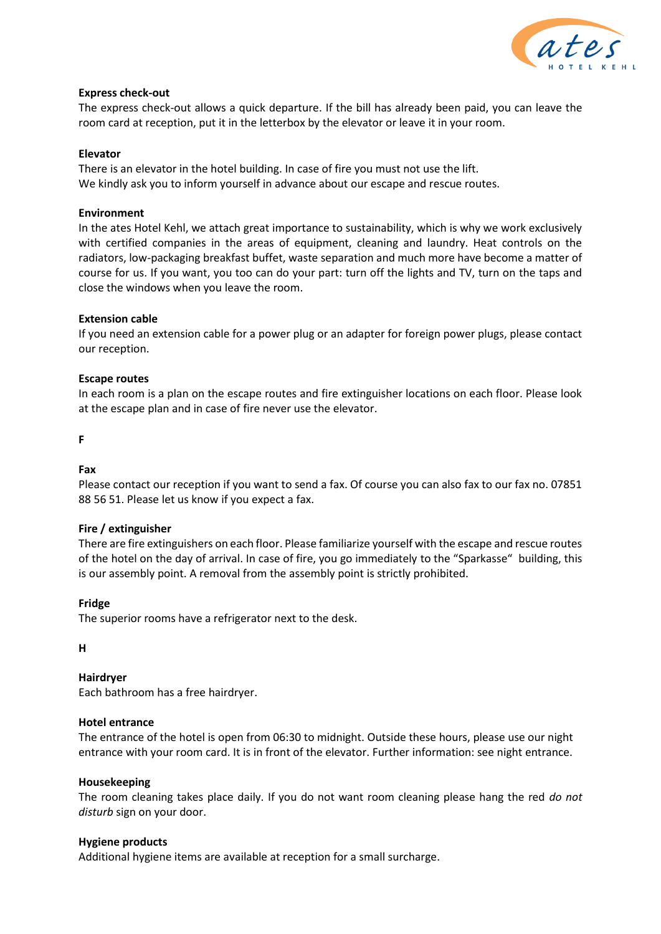

### **Express check-out**

The express check-out allows a quick departure. If the bill has already been paid, you can leave the room card at reception, put it in the letterbox by the elevator or leave it in your room.

#### **Elevator**

There is an elevator in the hotel building. In case of fire you must not use the lift. We kindly ask you to inform yourself in advance about our escape and rescue routes.

### **Environment**

In the ates Hotel Kehl, we attach great importance to sustainability, which is why we work exclusively with certified companies in the areas of equipment, cleaning and laundry. Heat controls on the radiators, low-packaging breakfast buffet, waste separation and much more have become a matter of course for us. If you want, you too can do your part: turn off the lights and TV, turn on the taps and close the windows when you leave the room.

### **Extension cable**

If you need an extension cable for a power plug or an adapter for foreign power plugs, please contact our reception.

#### **Escape routes**

In each room is a plan on the escape routes and fire extinguisher locations on each floor. Please look at the escape plan and in case of fire never use the elevator.

**F**

# **Fax**

Please contact our reception if you want to send a fax. Of course you can also fax to our fax no. 07851 88 56 51. Please let us know if you expect a fax.

#### **Fire / extinguisher**

There are fire extinguishers on each floor. Please familiarize yourself with the escape and rescue routes of the hotel on the day of arrival. In case of fire, you go immediately to the "Sparkasse" building, this is our assembly point. A removal from the assembly point is strictly prohibited.

#### **Fridge**

The superior rooms have a refrigerator next to the desk.

**H**

# **Hairdryer**

Each bathroom has a free hairdryer.

#### **Hotel entrance**

The entrance of the hotel is open from 06:30 to midnight. Outside these hours, please use our night entrance with your room card. It is in front of the elevator. Further information: see night entrance.

#### **Housekeeping**

The room cleaning takes place daily. If you do not want room cleaning please hang the red *do not disturb* sign on your door.

#### **Hygiene products**

Additional hygiene items are available at reception for a small surcharge.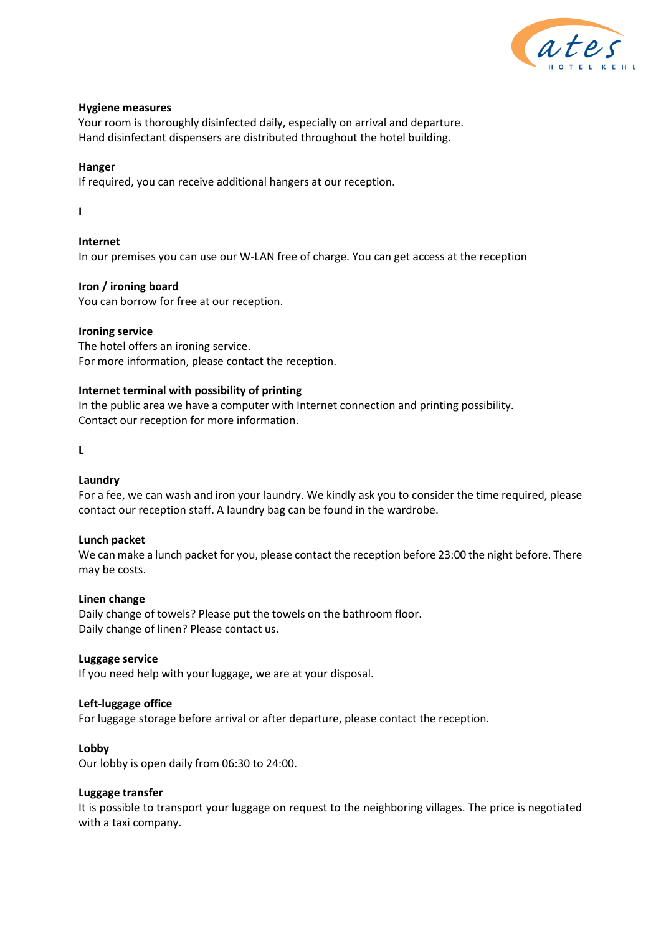

### **Hygiene measures**

Your room is thoroughly disinfected daily, especially on arrival and departure. Hand disinfectant dispensers are distributed throughout the hotel building.

### **Hanger**

If required, you can receive additional hangers at our reception.

**I**

### **Internet** In our premises you can use our W-LAN free of charge. You can get access at the reception

### **Iron / ironing board**

You can borrow for free at our reception.

# **Ironing service**

The hotel offers an ironing service. For more information, please contact the reception.

### **Internet terminal with possibility of printing**

In the public area we have a computer with Internet connection and printing possibility. Contact our reception for more information.

**L**

# **Laundry**

For a fee, we can wash and iron your laundry. We kindly ask you to consider the time required, please contact our reception staff. A laundry bag can be found in the wardrobe.

#### **Lunch packet**

We can make a lunch packet for you, please contact the reception before 23:00 the night before. There may be costs.

#### **Linen change**

Daily change of towels? Please put the towels on the bathroom floor. Daily change of linen? Please contact us.

#### **Luggage service**

If you need help with your luggage, we are at your disposal.

#### **Left-luggage office**

For luggage storage before arrival or after departure, please contact the reception.

#### **Lobby**

Our lobby is open daily from 06:30 to 24:00.

#### **Luggage transfer**

It is possible to transport your luggage on request to the neighboring villages. The price is negotiated with a taxi company.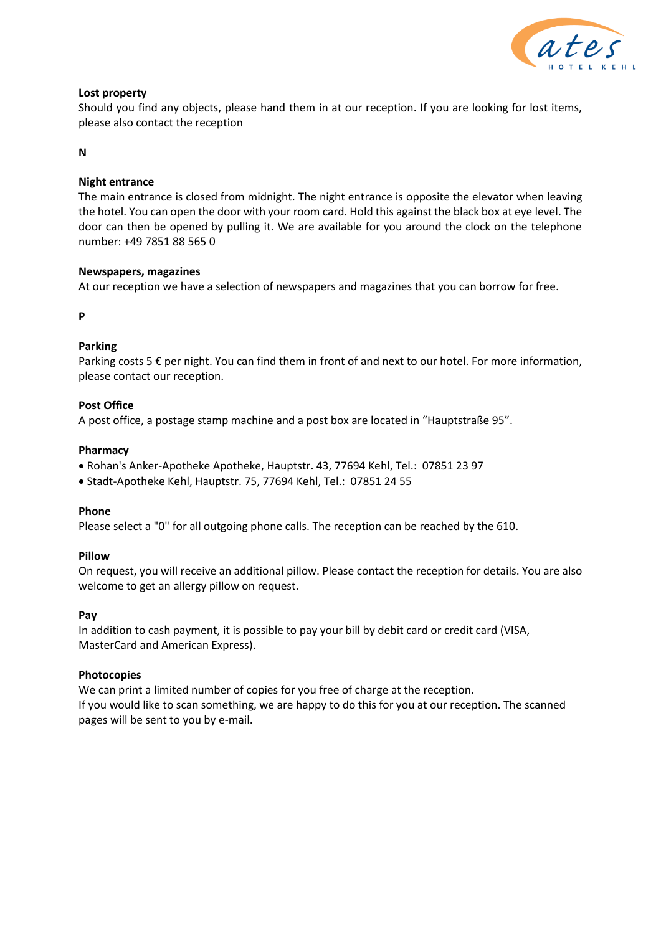

# **Lost property**

Should you find any objects, please hand them in at our reception. If you are looking for lost items, please also contact the reception

### **N**

# **Night entrance**

The main entrance is closed from midnight. The night entrance is opposite the elevator when leaving the hotel. You can open the door with your room card. Hold this against the black box at eye level. The door can then be opened by pulling it. We are available for you around the clock on the telephone number: +49 7851 88 565 0

# **Newspapers, magazines**

At our reception we have a selection of newspapers and magazines that you can borrow for free.

**P**

# **Parking**

Parking costs 5  $\epsilon$  per night. You can find them in front of and next to our hotel. For more information, please contact our reception.

# **Post Office**

A post office, a postage stamp machine and a post box are located in "Hauptstraße 95".

### **Pharmacy**

- Rohan's Anker-Apotheke Apotheke, Hauptstr. 43, 77694 Kehl, Tel.: 07851 23 97
- Stadt-Apotheke Kehl, Hauptstr. 75, 77694 Kehl, Tel.: 07851 24 55

#### **Phone**

Please select a "0" for all outgoing phone calls. The reception can be reached by the 610.

# **Pillow**

On request, you will receive an additional pillow. Please contact the reception for details. You are also welcome to get an allergy pillow on request.

# **Pay**

In addition to cash payment, it is possible to pay your bill by debit card or credit card (VISA, MasterCard and American Express).

#### **Photocopies**

We can print a limited number of copies for you free of charge at the reception. If you would like to scan something, we are happy to do this for you at our reception. The scanned pages will be sent to you by e-mail.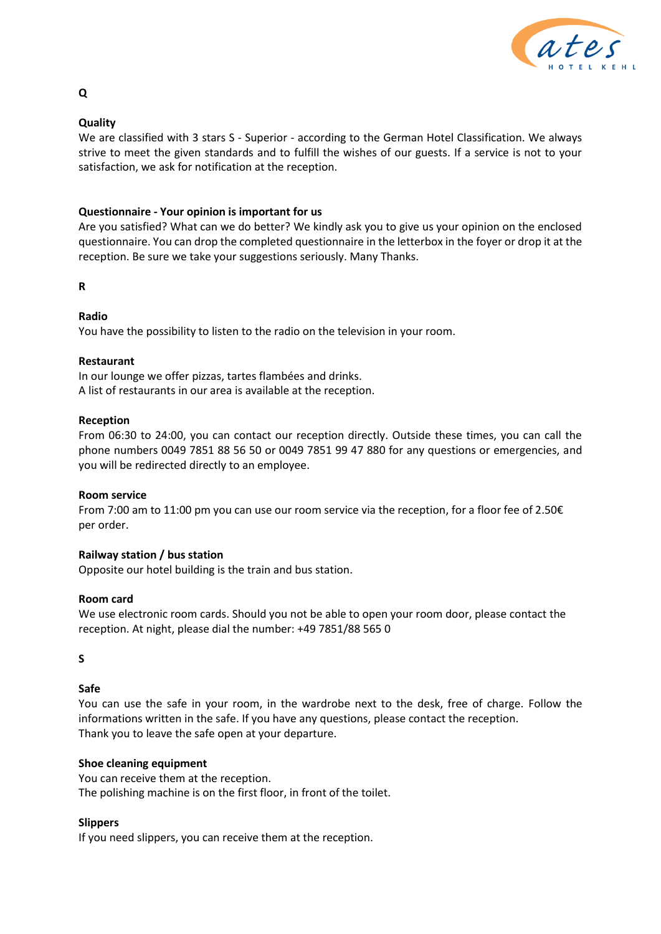

# **Quality**

We are classified with 3 stars S - Superior - according to the German Hotel Classification. We always strive to meet the given standards and to fulfill the wishes of our guests. If a service is not to your satisfaction, we ask for notification at the reception.

# **Questionnaire - Your opinion is important for us**

Are you satisfied? What can we do better? We kindly ask you to give us your opinion on the enclosed questionnaire. You can drop the completed questionnaire in the letterbox in the foyer or drop it at the reception. Be sure we take your suggestions seriously. Many Thanks.

### **R**

# **Radio**

You have the possibility to listen to the radio on the television in your room.

### **Restaurant**

In our lounge we offer pizzas, tartes flambées and drinks. A list of restaurants in our area is available at the reception.

### **Reception**

From 06:30 to 24:00, you can contact our reception directly. Outside these times, you can call the phone numbers 0049 7851 88 56 50 or 0049 7851 99 47 880 for any questions or emergencies, and you will be redirected directly to an employee.

#### **Room service**

From 7:00 am to 11:00 pm you can use our room service via the reception, for a floor fee of 2.50€ per order.

# **Railway station / bus station**

Opposite our hotel building is the train and bus station.

# **Room card**

We use electronic room cards. Should you not be able to open your room door, please contact the reception. At night, please dial the number: +49 7851/88 565 0

# **S**

# **Safe**

You can use the safe in your room, in the wardrobe next to the desk, free of charge. Follow the informations written in the safe. If you have any questions, please contact the reception. Thank you to leave the safe open at your departure.

#### **Shoe cleaning equipment**

You can receive them at the reception. The polishing machine is on the first floor, in front of the toilet.

# **Slippers**

If you need slippers, you can receive them at the reception.

# **Q**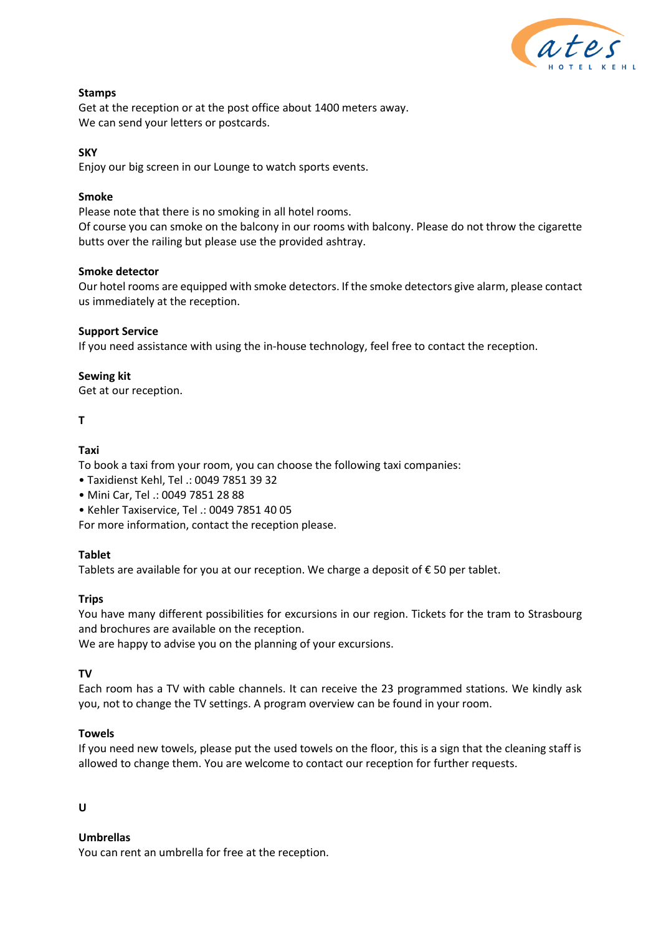

# **Stamps**

Get at the reception or at the post office about 1400 meters away. We can send your letters or postcards.

# **SKY**

Enjoy our big screen in our Lounge to watch sports events.

# **Smoke**

Please note that there is no smoking in all hotel rooms.

Of course you can smoke on the balcony in our rooms with balcony. Please do not throw the cigarette butts over the railing but please use the provided ashtray.

# **Smoke detector**

Our hotel rooms are equipped with smoke detectors. If the smoke detectors give alarm, please contact us immediately at the reception.

# **Support Service**

If you need assistance with using the in-house technology, feel free to contact the reception.

# **Sewing kit**

Get at our reception.

# **T**

# **Taxi**

To book a taxi from your room, you can choose the following taxi companies:

- Taxidienst Kehl, Tel .: 0049 7851 39 32
- Mini Car, Tel .: 0049 7851 28 88
- Kehler Taxiservice, Tel .: 0049 7851 40 05

For more information, contact the reception please.

# **Tablet**

Tablets are available for you at our reception. We charge a deposit of  $\epsilon$  50 per tablet.

# **Trips**

You have many different possibilities for excursions in our region. Tickets for the tram to Strasbourg and brochures are available on the reception.

We are happy to advise you on the planning of your excursions.

# **TV**

Each room has a TV with cable channels. It can receive the 23 programmed stations. We kindly ask you, not to change the TV settings. A program overview can be found in your room.

# **Towels**

If you need new towels, please put the used towels on the floor, this is a sign that the cleaning staff is allowed to change them. You are welcome to contact our reception for further requests.

# **U**

# **Umbrellas**

You can rent an umbrella for free at the reception.